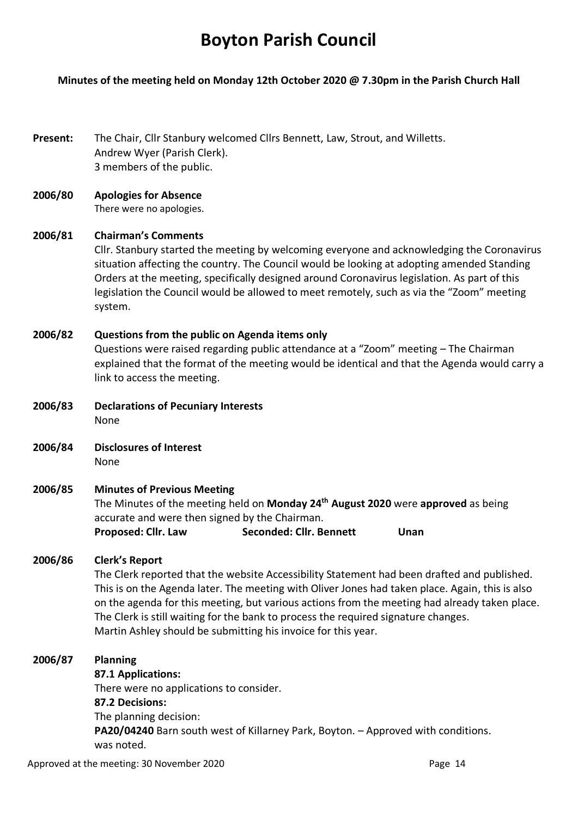# **Boyton Parish Council**

# **Minutes of the meeting held on Monday 12th October 2020 @ 7.30pm in the Parish Church Hall**

**Present:** The Chair, Cllr Stanbury welcomed Cllrs Bennett, Law, Strout, and Willetts. Andrew Wyer (Parish Clerk). 3 members of the public.

#### **2006/80 Apologies for Absence** There were no apologies.

# **2006/81 Chairman's Comments**

Cllr. Stanbury started the meeting by welcoming everyone and acknowledging the Coronavirus situation affecting the country. The Council would be looking at adopting amended Standing Orders at the meeting, specifically designed around Coronavirus legislation. As part of this legislation the Council would be allowed to meet remotely, such as via the "Zoom" meeting system.

# **2006/82 Questions from the public on Agenda items only**

Questions were raised regarding public attendance at a "Zoom" meeting – The Chairman explained that the format of the meeting would be identical and that the Agenda would carry a link to access the meeting.

**2006/83 Declarations of Pecuniary Interests** None

**2006/84 Disclosures of Interest**  None

## **2006/85 Minutes of Previous Meeting**

The Minutes of the meeting held on **Monday 24th August 2020** were **approved** as being accurate and were then signed by the Chairman. **Proposed: Cllr. Law Seconded: Cllr. Bennett Unan** 

# **2006/86 Clerk's Report**

The Clerk reported that the website Accessibility Statement had been drafted and published. This is on the Agenda later. The meeting with Oliver Jones had taken place. Again, this is also on the agenda for this meeting, but various actions from the meeting had already taken place. The Clerk is still waiting for the bank to process the required signature changes. Martin Ashley should be submitting his invoice for this year.

## **2006/87 Planning**

**87.1 Applications:** There were no applications to consider. **87.2 Decisions:** The planning decision: **PA20/04240** Barn south west of Killarney Park, Boyton. – Approved with conditions. was noted.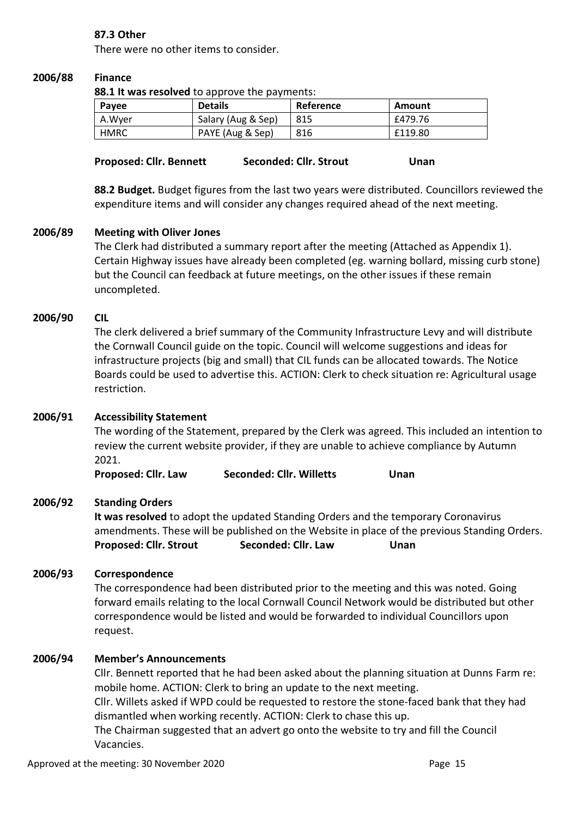# **87.3 Other**

There were no other items to consider.

#### **2006/88 Finance**

**88.1 It was resolved** to approve the payments:

| Payee       | <b>Details</b>     | Reference | Amount  |
|-------------|--------------------|-----------|---------|
| A.Wyer      | Salary (Aug & Sep) | 815       | £479.76 |
| <b>HMRC</b> | PAYE (Aug & Sep)   | 816       | £119.80 |

| <b>Proposed: Cllr. Bennett</b> | Seconded: Cllr. Strout | Unan |
|--------------------------------|------------------------|------|
|                                |                        |      |

**88.2 Budget.** Budget figures from the last two years were distributed. Councillors reviewed the expenditure items and will consider any changes required ahead of the next meeting.

#### **2006/89 Meeting with Oliver Jones**

The Clerk had distributed a summary report after the meeting (Attached as Appendix 1). Certain Highway issues have already been completed (eg. warning bollard, missing curb stone) but the Council can feedback at future meetings, on the other issues if these remain uncompleted.

#### **2006/90 CIL**

The clerk delivered a brief summary of the Community Infrastructure Levy and will distribute the Cornwall Council guide on the topic. Council will welcome suggestions and ideas for infrastructure projects (big and small) that CIL funds can be allocated towards. The Notice Boards could be used to advertise this. ACTION: Clerk to check situation re: Agricultural usage restriction.

# **2006/91 Accessibility Statement**

The wording of the Statement, prepared by the Clerk was agreed. This included an intention to review the current website provider, if they are unable to achieve compliance by Autumn 2021.

**Proposed: Cllr. Law Seconded: Cllr. Willetts Unan** 

## **2006/92 Standing Orders**

**It was resolved** to adopt the updated Standing Orders and the temporary Coronavirus amendments. These will be published on the Website in place of the previous Standing Orders. Proposed: Cllr. Strout Seconded: Cllr. Law Unan

## **2006/93 Correspondence**

The correspondence had been distributed prior to the meeting and this was noted. Going forward emails relating to the local Cornwall Council Network would be distributed but other correspondence would be listed and would be forwarded to individual Councillors upon request.

## **2006/94 Member's Announcements**

Cllr. Bennett reported that he had been asked about the planning situation at Dunns Farm re: mobile home. ACTION: Clerk to bring an update to the next meeting.

Cllr. Willets asked if WPD could be requested to restore the stone-faced bank that they had dismantled when working recently. ACTION: Clerk to chase this up.

The Chairman suggested that an advert go onto the website to try and fill the Council Vacancies.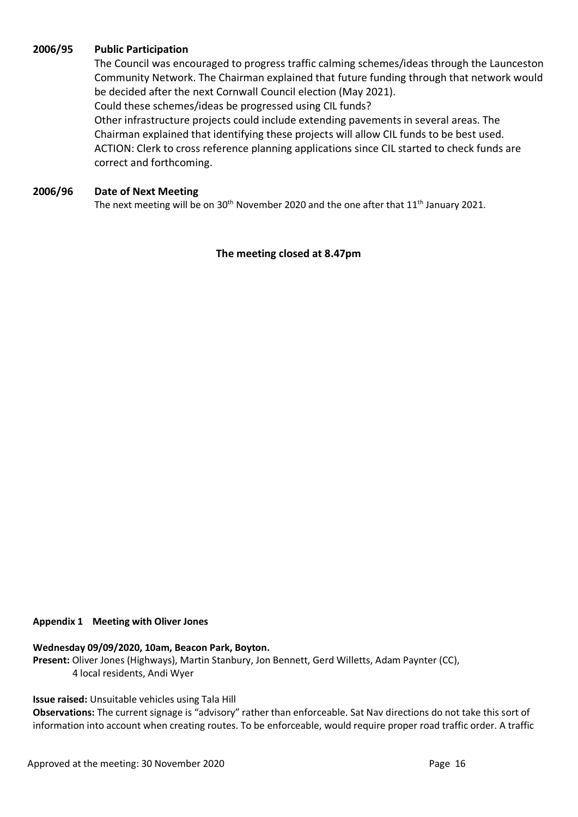## **2006/95 Public Participation**

The Council was encouraged to progress traffic calming schemes/ideas through the Launceston Community Network. The Chairman explained that future funding through that network would be decided after the next Cornwall Council election (May 2021).

Could these schemes/ideas be progressed using CIL funds?

Other infrastructure projects could include extending pavements in several areas. The Chairman explained that identifying these projects will allow CIL funds to be best used. ACTION: Clerk to cross reference planning applications since CIL started to check funds are correct and forthcoming.

#### **2006/96 Date of Next Meeting**

The next meeting will be on  $30<sup>th</sup>$  November 2020 and the one after that  $11<sup>th</sup>$  January 2021.

**The meeting closed at 8.47pm**

#### **Appendix 1 Meeting with Oliver Jones**

# **Wednesday 09/09/2020, 10am, Beacon Park, Boyton.**

**Present:** Oliver Jones (Highways), Martin Stanbury, Jon Bennett, Gerd Willetts, Adam Paynter (CC), 4 local residents, Andi Wyer

# **Issue raised:** Unsuitable vehicles using Tala Hill

**Observations:** The current signage is "advisory" rather than enforceable. Sat Nav directions do not take this sort of information into account when creating routes. To be enforceable, would require proper road traffic order. A traffic